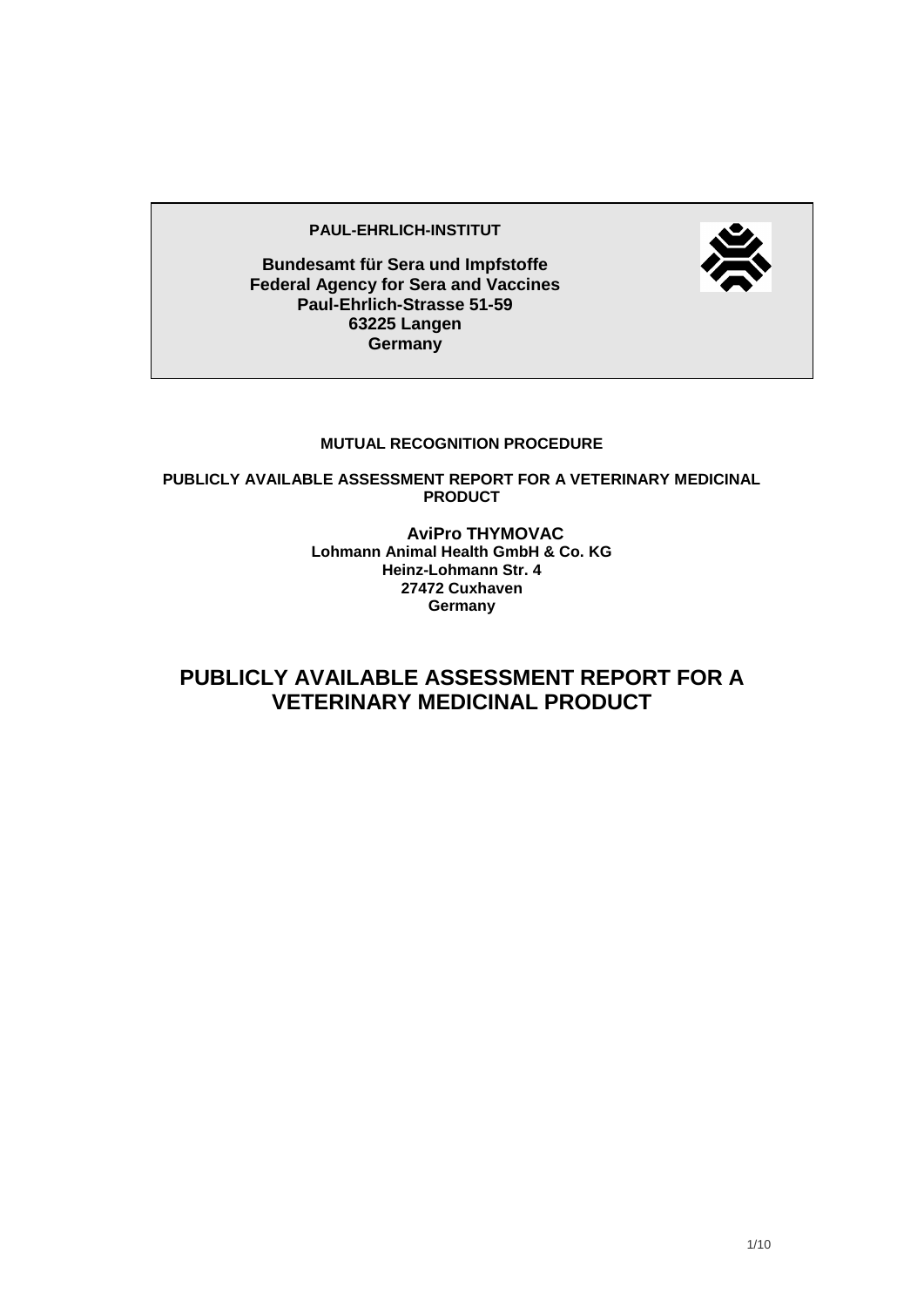#### **PAUL-EHRLICH-INSTITUT**



**Bundesamt für Sera und Impfstoffe Federal Agency for Sera and Vaccines Paul-Ehrlich-Strasse 51-59 63225 Langen Germany**

#### **MUTUAL RECOGNITION PROCEDURE**

**PUBLICLY AVAILABLE ASSESSMENT REPORT FOR A VETERINARY MEDICINAL PRODUCT**

> **AviPro THYMOVAC Lohmann Animal Health GmbH & Co. KG Heinz-Lohmann Str. 4 27472 Cuxhaven Germany**

**PUBLICLY AVAILABLE ASSESSMENT REPORT FOR A VETERINARY MEDICINAL PRODUCT**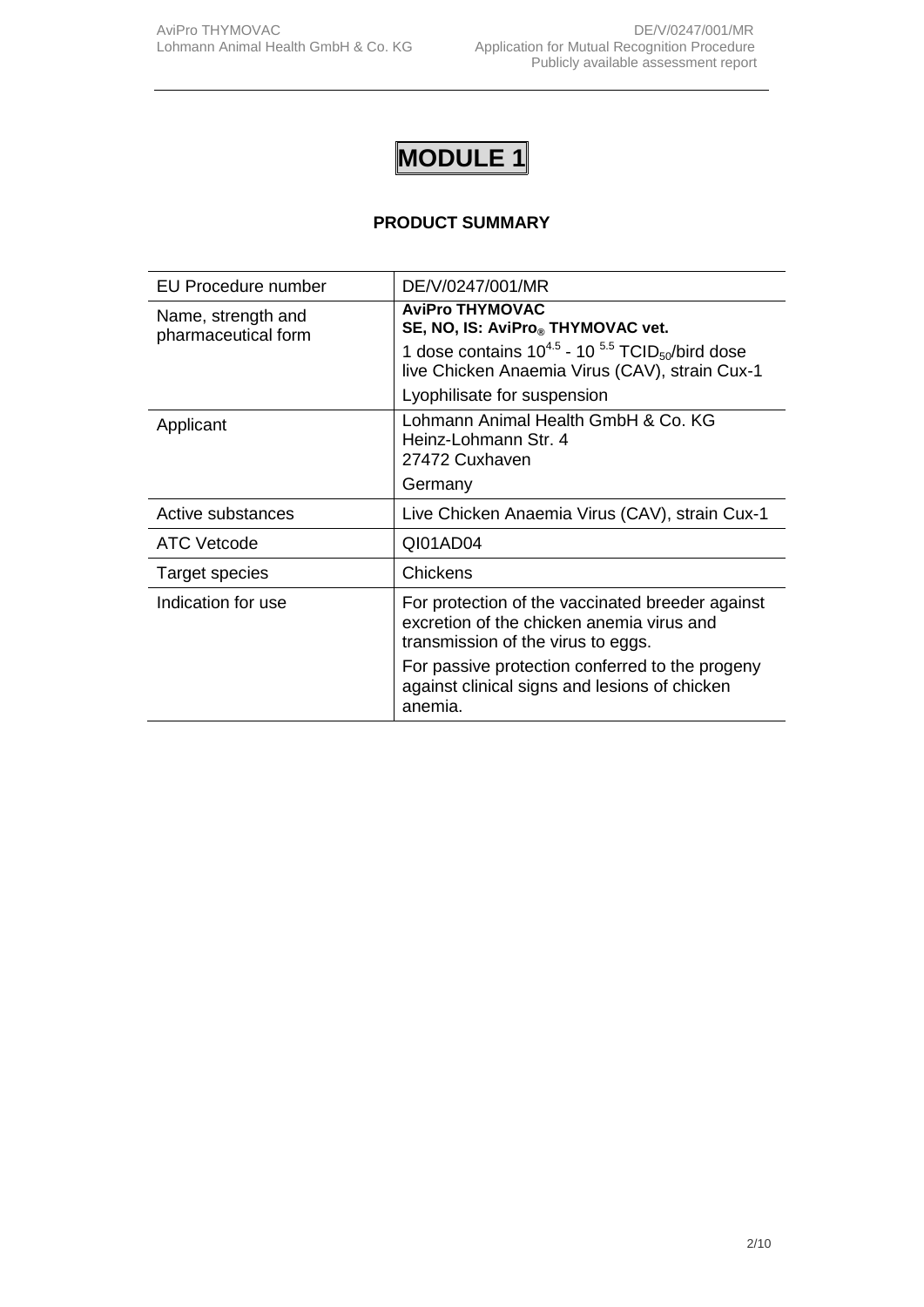## **PRODUCT SUMMARY**

| EU Procedure number                       | DE/V/0247/001/MR                                                                                                                    |
|-------------------------------------------|-------------------------------------------------------------------------------------------------------------------------------------|
| Name, strength and<br>pharmaceutical form | <b>AviPro THYMOVAC</b><br>SE, NO, IS: AviPro® THYMOVAC vet.                                                                         |
|                                           | 1 dose contains $10^{4.5}$ - 10 $5.5$ TCID <sub>50</sub> /bird dose<br>live Chicken Anaemia Virus (CAV), strain Cux-1               |
|                                           | Lyophilisate for suspension                                                                                                         |
| Applicant                                 | Lohmann Animal Health GmbH & Co. KG<br>Heinz-Lohmann Str. 4<br>27472 Cuxhaven                                                       |
|                                           | Germany                                                                                                                             |
| Active substances                         | Live Chicken Anaemia Virus (CAV), strain Cux-1                                                                                      |
| <b>ATC Vetcode</b>                        | QI01AD04                                                                                                                            |
| Target species                            | Chickens                                                                                                                            |
| Indication for use                        | For protection of the vaccinated breeder against<br>excretion of the chicken anemia virus and<br>transmission of the virus to eggs. |
|                                           | For passive protection conferred to the progeny<br>against clinical signs and lesions of chicken<br>anemia.                         |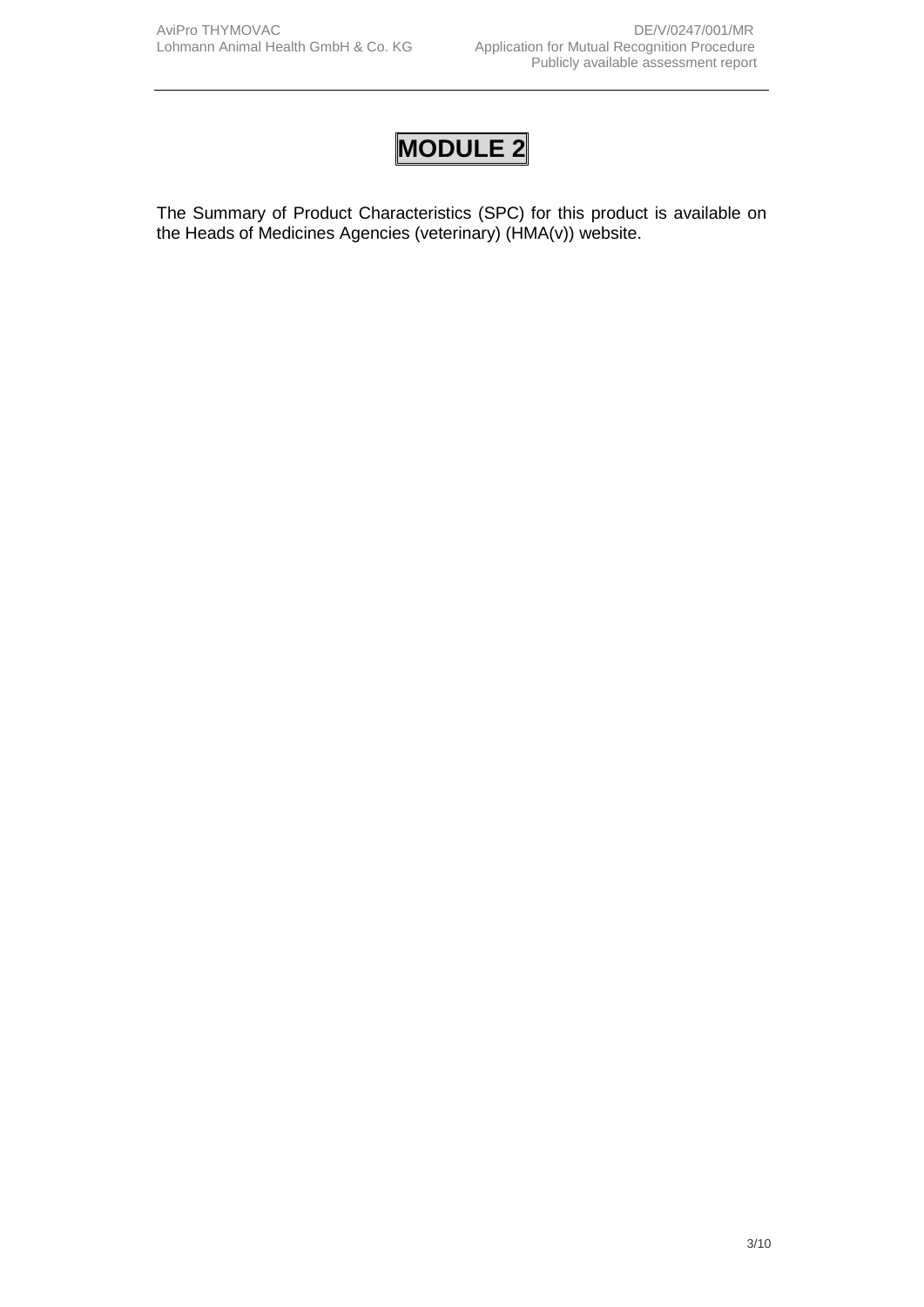The Summary of Product Characteristics (SPC) for this product is available on the Heads of Medicines Agencies (veterinary) (HMA(v)) website.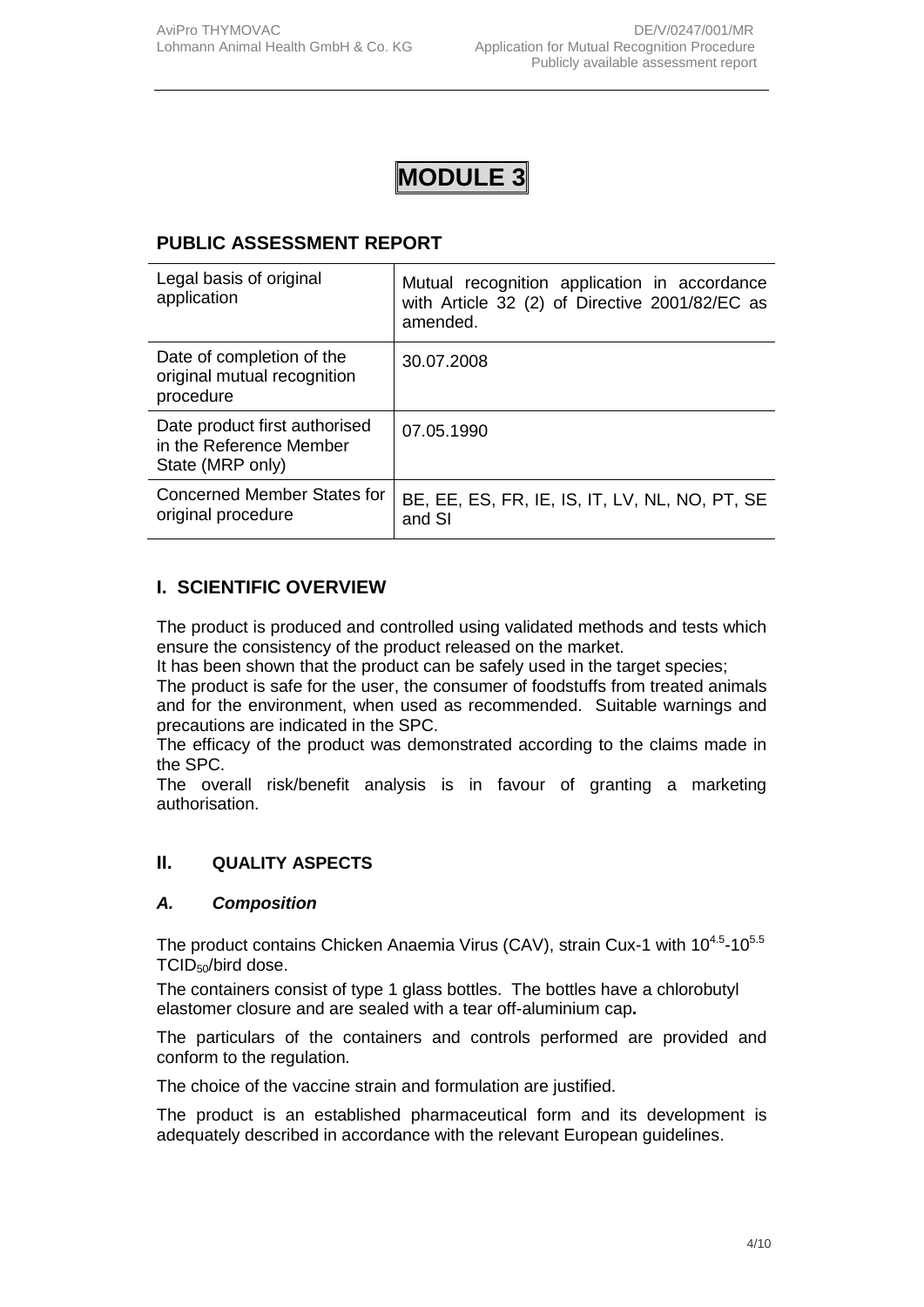### **PUBLIC ASSESSMENT REPORT**

| Legal basis of original<br>application                                       | Mutual recognition application in accordance<br>with Article 32 (2) of Directive 2001/82/EC as<br>amended. |
|------------------------------------------------------------------------------|------------------------------------------------------------------------------------------------------------|
| Date of completion of the<br>original mutual recognition<br>procedure        | 30.07.2008                                                                                                 |
| Date product first authorised<br>in the Reference Member<br>State (MRP only) | 07.05.1990                                                                                                 |
| Concerned Member States for<br>original procedure                            | BE, EE, ES, FR, IE, IS, IT, LV, NL, NO, PT, SE<br>and SI                                                   |

## **I. SCIENTIFIC OVERVIEW**

The product is produced and controlled using validated methods and tests which ensure the consistency of the product released on the market.

It has been shown that the product can be safely used in the target species;

The product is safe for the user, the consumer of foodstuffs from treated animals and for the environment, when used as recommended. Suitable warnings and precautions are indicated in the SPC.

The efficacy of the product was demonstrated according to the claims made in the SPC.

The overall risk/benefit analysis is in favour of granting a marketing authorisation.

#### **II. QUALITY ASPECTS**

#### *A. Composition*

The product contains Chicken Anaemia Virus (CAV), strain Cux-1 with  $10^{4.5}$ -10 $5.5$ TCID<sub>50</sub>/bird dose.

The containers consist of type 1 glass bottles. The bottles have a chlorobutyl elastomer closure and are sealed with a tear off-aluminium cap**.**

The particulars of the containers and controls performed are provided and conform to the regulation.

The choice of the vaccine strain and formulation are justified.

The product is an established pharmaceutical form and its development is adequately described in accordance with the relevant European guidelines.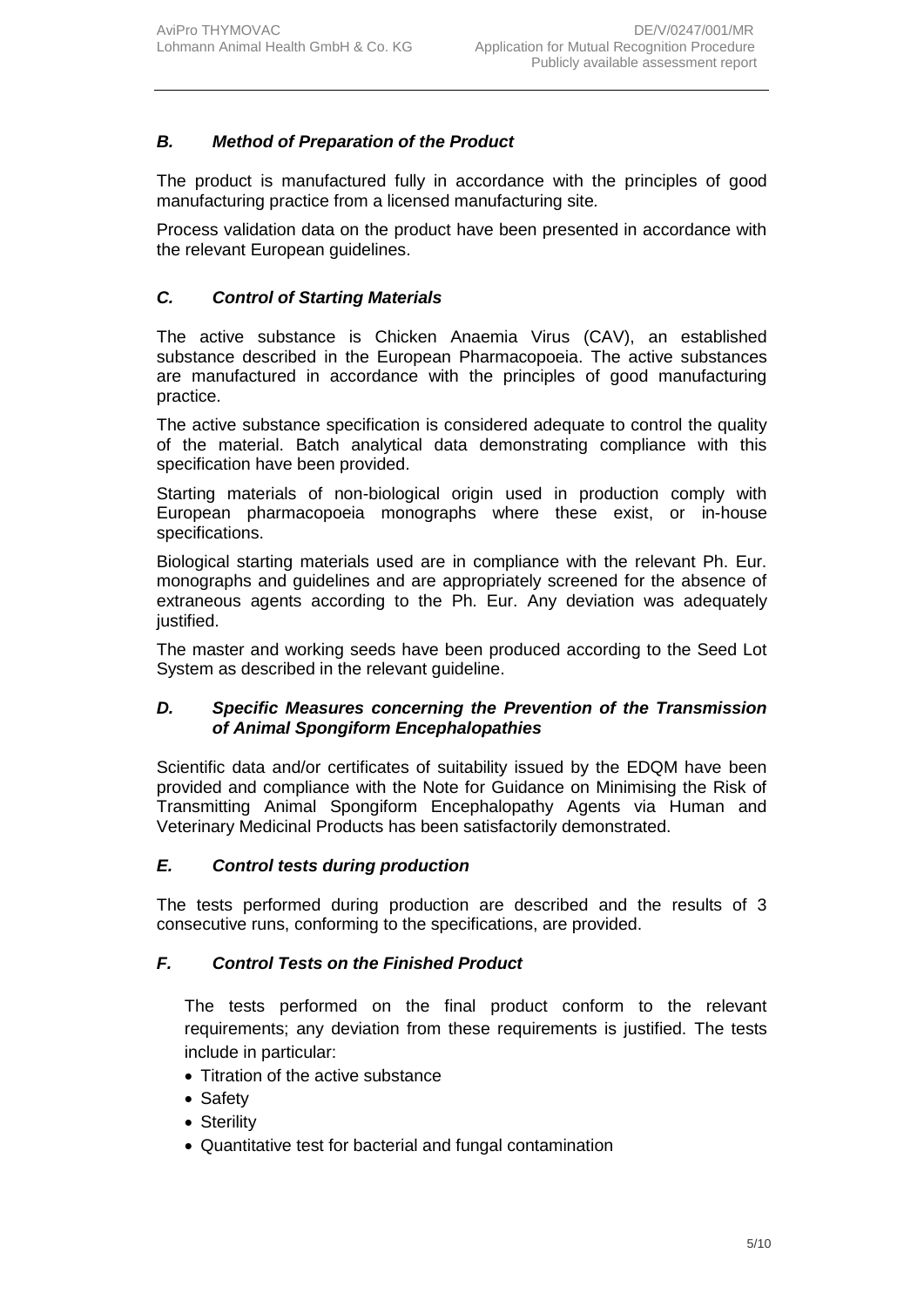## *B. Method of Preparation of the Product*

The product is manufactured fully in accordance with the principles of good manufacturing practice from a licensed manufacturing site*.*

Process validation data on the product have been presented in accordance with the relevant European guidelines.

## *C. Control of Starting Materials*

The active substance is Chicken Anaemia Virus (CAV), an established substance described in the European Pharmacopoeia. The active substances are manufactured in accordance with the principles of good manufacturing practice.

The active substance specification is considered adequate to control the quality of the material. Batch analytical data demonstrating compliance with this specification have been provided.

Starting materials of non-biological origin used in production comply with European pharmacopoeia monographs where these exist, or in-house specifications.

Biological starting materials used are in compliance with the relevant Ph. Eur. monographs and guidelines and are appropriately screened for the absence of extraneous agents according to the Ph. Eur. Any deviation was adequately justified.

The master and working seeds have been produced according to the Seed Lot System as described in the relevant guideline.

#### *D. Specific Measures concerning the Prevention of the Transmission of Animal Spongiform Encephalopathies*

Scientific data and/or certificates of suitability issued by the EDQM have been provided and compliance with the Note for Guidance on Minimising the Risk of Transmitting Animal Spongiform Encephalopathy Agents via Human and Veterinary Medicinal Products has been satisfactorily demonstrated.

#### *E. Control tests during production*

The tests performed during production are described and the results of 3 consecutive runs, conforming to the specifications, are provided.

#### *F. Control Tests on the Finished Product*

The tests performed on the final product conform to the relevant requirements; any deviation from these requirements is justified. The tests include in particular:

- Titration of the active substance
- Safety
- Sterility
- Quantitative test for bacterial and fungal contamination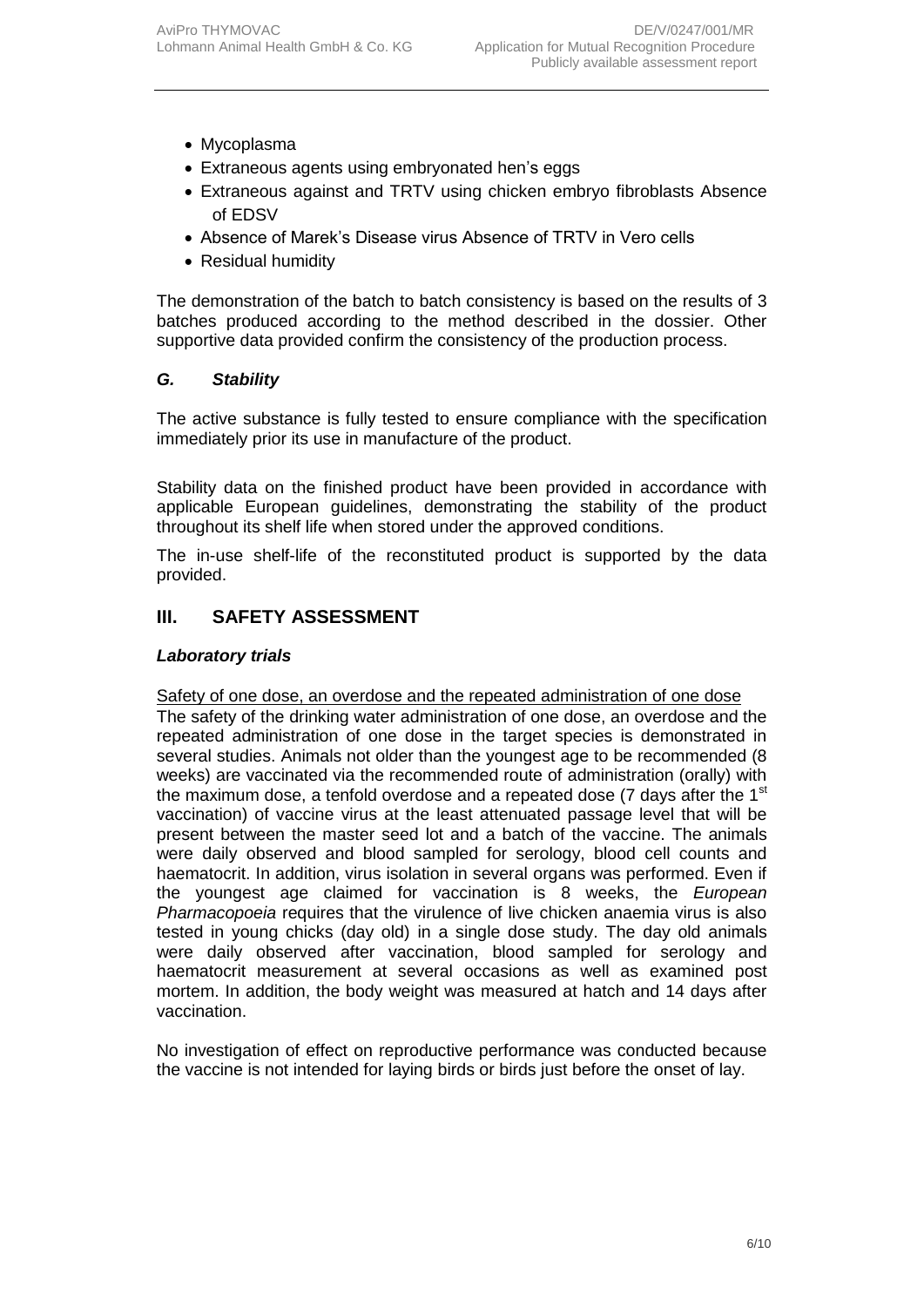- Mycoplasma
- Extraneous agents using embryonated hen's eggs
- Extraneous against and TRTV using chicken embryo fibroblasts Absence of EDSV
- Absence of Marek's Disease virus Absence of TRTV in Vero cells
- Residual humidity

The demonstration of the batch to batch consistency is based on the results of 3 batches produced according to the method described in the dossier. Other supportive data provided confirm the consistency of the production process.

#### *G. Stability*

The active substance is fully tested to ensure compliance with the specification immediately prior its use in manufacture of the product.

Stability data on the finished product have been provided in accordance with applicable European guidelines, demonstrating the stability of the product throughout its shelf life when stored under the approved conditions.

The in-use shelf-life of the reconstituted product is supported by the data provided.

## **III. SAFETY ASSESSMENT**

#### *Laboratory trials*

#### Safety of one dose, an overdose and the repeated administration of one dose

The safety of the drinking water administration of one dose, an overdose and the repeated administration of one dose in the target species is demonstrated in several studies. Animals not older than the youngest age to be recommended (8 weeks) are vaccinated via the recommended route of administration (orally) with the maximum dose, a tenfold overdose and a repeated dose (7 days after the  $1<sup>st</sup>$ vaccination) of vaccine virus at the least attenuated passage level that will be present between the master seed lot and a batch of the vaccine. The animals were daily observed and blood sampled for serology, blood cell counts and haematocrit. In addition, virus isolation in several organs was performed. Even if the youngest age claimed for vaccination is 8 weeks, the *European Pharmacopoeia* requires that the virulence of live chicken anaemia virus is also tested in young chicks (day old) in a single dose study. The day old animals were daily observed after vaccination, blood sampled for serology and haematocrit measurement at several occasions as well as examined post mortem. In addition, the body weight was measured at hatch and 14 days after vaccination.

No investigation of effect on reproductive performance was conducted because the vaccine is not intended for laying birds or birds just before the onset of lay.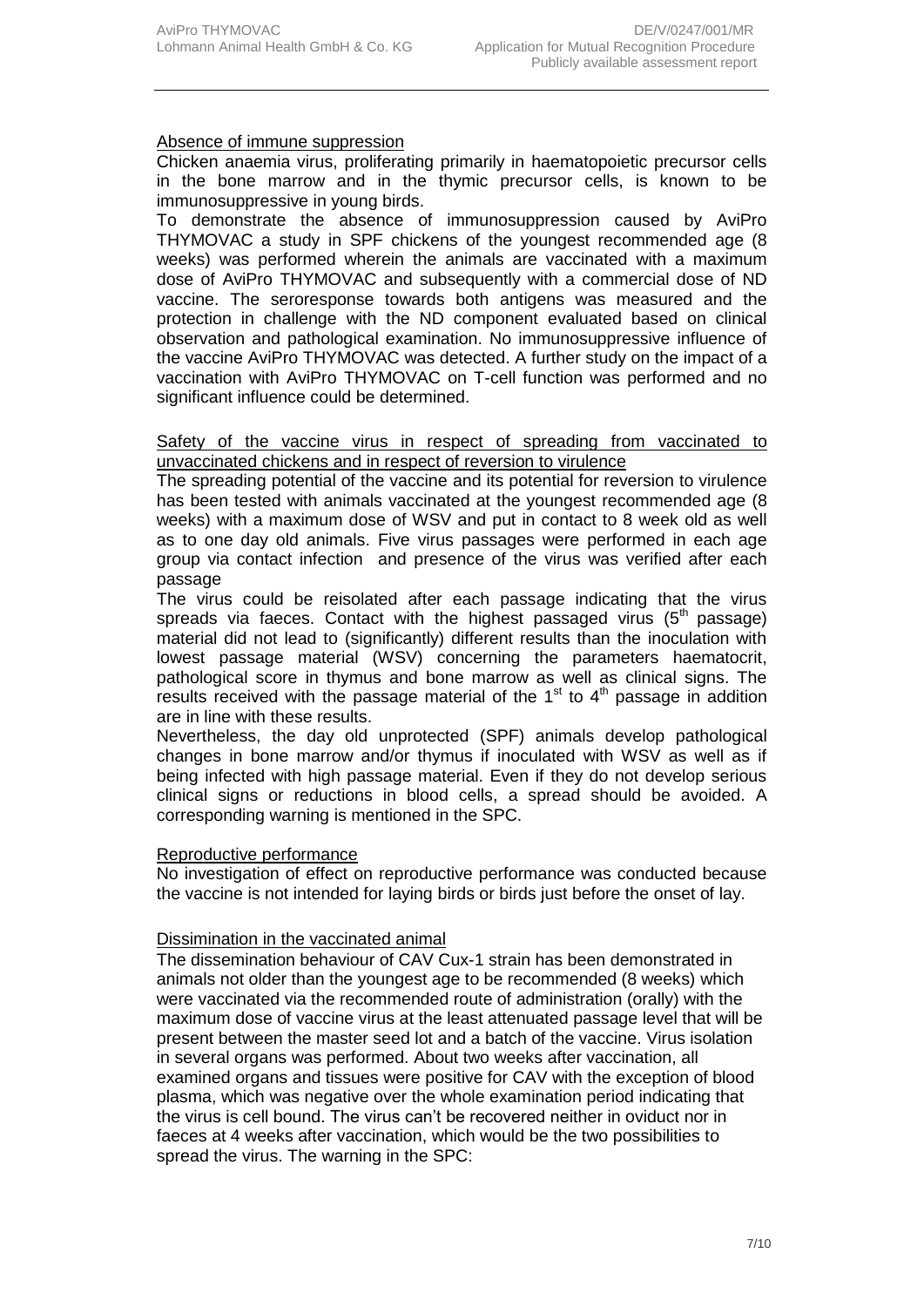#### Absence of immune suppression

Chicken anaemia virus, proliferating primarily in haematopoietic precursor cells in the bone marrow and in the thymic precursor cells, is known to be immunosuppressive in young birds.

To demonstrate the absence of immunosuppression caused by AviPro THYMOVAC a study in SPF chickens of the youngest recommended age (8 weeks) was performed wherein the animals are vaccinated with a maximum dose of AviPro THYMOVAC and subsequently with a commercial dose of ND vaccine. The seroresponse towards both antigens was measured and the protection in challenge with the ND component evaluated based on clinical observation and pathological examination. No immunosuppressive influence of the vaccine AviPro THYMOVAC was detected. A further study on the impact of a vaccination with AviPro THYMOVAC on T-cell function was performed and no significant influence could be determined.

#### Safety of the vaccine virus in respect of spreading from vaccinated to unvaccinated chickens and in respect of reversion to virulence

The spreading potential of the vaccine and its potential for reversion to virulence has been tested with animals vaccinated at the youngest recommended age (8 weeks) with a maximum dose of WSV and put in contact to 8 week old as well as to one day old animals. Five virus passages were performed in each age group via contact infection and presence of the virus was verified after each passage

The virus could be reisolated after each passage indicating that the virus spreads via faeces. Contact with the highest passaged virus  $(5<sup>th</sup>$  passage) material did not lead to (significantly) different results than the inoculation with lowest passage material (WSV) concerning the parameters haematocrit, pathological score in thymus and bone marrow as well as clinical signs. The results received with the passage material of the  $1<sup>st</sup>$  to  $4<sup>th</sup>$  passage in addition are in line with these results.

Nevertheless, the day old unprotected (SPF) animals develop pathological changes in bone marrow and/or thymus if inoculated with WSV as well as if being infected with high passage material. Even if they do not develop serious clinical signs or reductions in blood cells, a spread should be avoided. A corresponding warning is mentioned in the SPC.

#### Reproductive performance

No investigation of effect on reproductive performance was conducted because the vaccine is not intended for laying birds or birds just before the onset of lay.

#### Dissimination in the vaccinated animal

The dissemination behaviour of CAV Cux-1 strain has been demonstrated in animals not older than the youngest age to be recommended (8 weeks) which were vaccinated via the recommended route of administration (orally) with the maximum dose of vaccine virus at the least attenuated passage level that will be present between the master seed lot and a batch of the vaccine. Virus isolation in several organs was performed. About two weeks after vaccination, all examined organs and tissues were positive for CAV with the exception of blood plasma, which was negative over the whole examination period indicating that the virus is cell bound. The virus can't be recovered neither in oviduct nor in faeces at 4 weeks after vaccination, which would be the two possibilities to spread the virus. The warning in the SPC: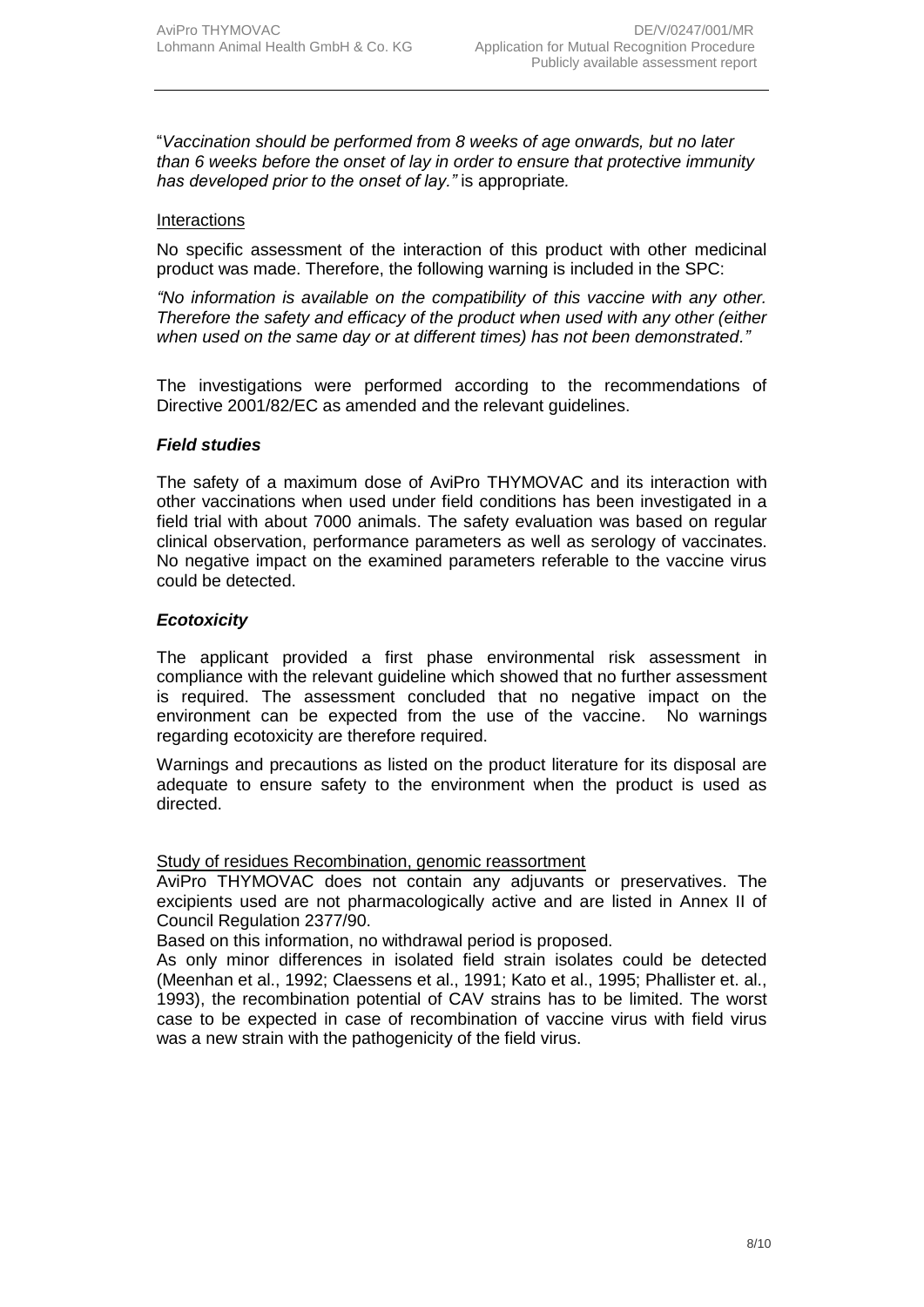"*Vaccination should be performed from 8 weeks of age onwards, but no later than 6 weeks before the onset of lay in order to ensure that protective immunity has developed prior to the onset of lay."* is appropriate*.*

#### **Interactions**

No specific assessment of the interaction of this product with other medicinal product was made. Therefore, the following warning is included in the SPC:

*"No information is available on the compatibility of this vaccine with any other. Therefore the safety and efficacy of the product when used with any other (either when used on the same day or at different times) has not been demonstrated."*

The investigations were performed according to the recommendations of Directive 2001/82/EC as amended and the relevant guidelines.

#### *Field studies*

The safety of a maximum dose of AviPro THYMOVAC and its interaction with other vaccinations when used under field conditions has been investigated in a field trial with about 7000 animals. The safety evaluation was based on regular clinical observation, performance parameters as well as serology of vaccinates. No negative impact on the examined parameters referable to the vaccine virus could be detected.

#### *Ecotoxicity*

The applicant provided a first phase environmental risk assessment in compliance with the relevant guideline which showed that no further assessment is required. The assessment concluded that no negative impact on the environment can be expected from the use of the vaccine. No warnings regarding ecotoxicity are therefore required.

Warnings and precautions as listed on the product literature for its disposal are adequate to ensure safety to the environment when the product is used as directed.

Study of residues Recombination, genomic reassortment

AviPro THYMOVAC does not contain any adjuvants or preservatives. The excipients used are not pharmacologically active and are listed in Annex II of Council Regulation 2377/90.

Based on this information, no withdrawal period is proposed.

As only minor differences in isolated field strain isolates could be detected (Meenhan et al., 1992; Claessens et al., 1991; Kato et al., 1995; Phallister et. al., 1993), the recombination potential of CAV strains has to be limited. The worst case to be expected in case of recombination of vaccine virus with field virus was a new strain with the pathogenicity of the field virus.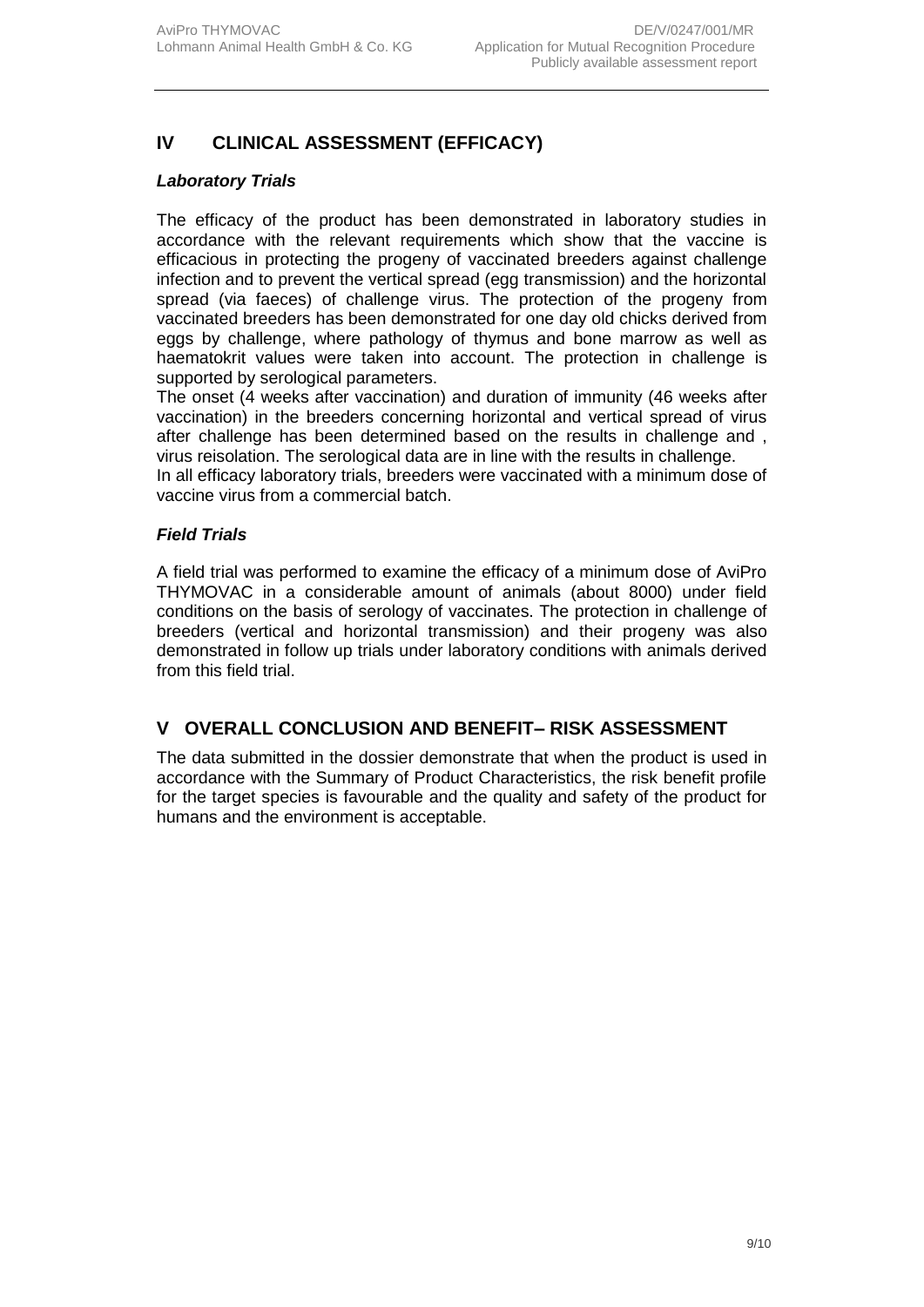## **IV CLINICAL ASSESSMENT (EFFICACY)**

#### *Laboratory Trials*

The efficacy of the product has been demonstrated in laboratory studies in accordance with the relevant requirements which show that the vaccine is efficacious in protecting the progeny of vaccinated breeders against challenge infection and to prevent the vertical spread (egg transmission) and the horizontal spread (via faeces) of challenge virus. The protection of the progeny from vaccinated breeders has been demonstrated for one day old chicks derived from eggs by challenge, where pathology of thymus and bone marrow as well as haematokrit values were taken into account. The protection in challenge is supported by serological parameters.

The onset (4 weeks after vaccination) and duration of immunity (46 weeks after vaccination) in the breeders concerning horizontal and vertical spread of virus after challenge has been determined based on the results in challenge and , virus reisolation. The serological data are in line with the results in challenge.

In all efficacy laboratory trials, breeders were vaccinated with a minimum dose of vaccine virus from a commercial batch.

#### *Field Trials*

A field trial was performed to examine the efficacy of a minimum dose of AviPro THYMOVAC in a considerable amount of animals (about 8000) under field conditions on the basis of serology of vaccinates. The protection in challenge of breeders (vertical and horizontal transmission) and their progeny was also demonstrated in follow up trials under laboratory conditions with animals derived from this field trial.

#### **V OVERALL CONCLUSION AND BENEFIT– RISK ASSESSMENT**

The data submitted in the dossier demonstrate that when the product is used in accordance with the Summary of Product Characteristics, the risk benefit profile for the target species is favourable and the quality and safety of the product for humans and the environment is acceptable.